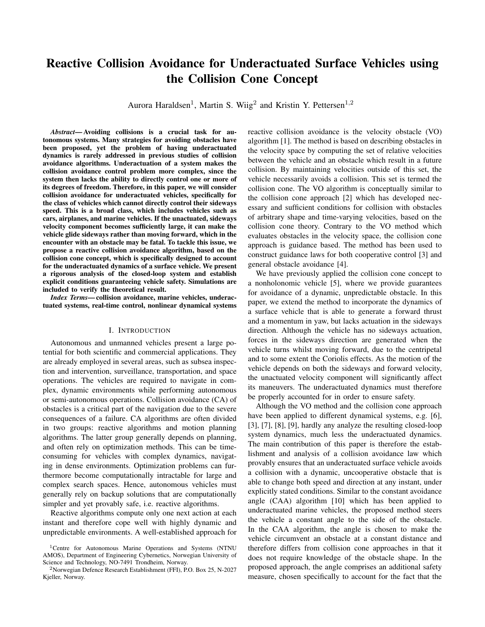# Reactive Collision Avoidance for Underactuated Surface Vehicles using the Collision Cone Concept

Aurora Haraldsen<sup>1</sup>, Martin S. Wiig<sup>2</sup> and Kristin Y. Pettersen<sup>1,2</sup>

*Abstract*— Avoiding collisions is a crucial task for autonomous systems. Many strategies for avoiding obstacles have been proposed, yet the problem of having underactuated dynamics is rarely addressed in previous studies of collision avoidance algorithms. Underactuation of a system makes the collision avoidance control problem more complex, since the system then lacks the ability to directly control one or more of its degrees of freedom. Therefore, in this paper, we will consider collision avoidance for underactuated vehicles, specifically for the class of vehicles which cannot directly control their sideways speed. This is a broad class, which includes vehicles such as cars, airplanes, and marine vehicles. If the unactuated, sideways velocity component becomes sufficiently large, it can make the vehicle glide sideways rather than moving forward, which in the encounter with an obstacle may be fatal. To tackle this issue, we propose a reactive collision avoidance algorithm, based on the collision cone concept, which is specifically designed to account for the underactuated dynamics of a surface vehicle. We present a rigorous analysis of the closed-loop system and establish explicit conditions guaranteeing vehicle safety. Simulations are included to verify the theoretical result.

*Index Terms*— collision avoidance, marine vehicles, underactuated systems, real-time control, nonlinear dynamical systems

## I. INTRODUCTION

Autonomous and unmanned vehicles present a large potential for both scientific and commercial applications. They are already employed in several areas, such as subsea inspection and intervention, surveillance, transportation, and space operations. The vehicles are required to navigate in complex, dynamic environments while performing autonomous or semi-autonomous operations. Collision avoidance (CA) of obstacles is a critical part of the navigation due to the severe consequences of a failure. CA algorithms are often divided in two groups: reactive algorithms and motion planning algorithms. The latter group generally depends on planning, and often rely on optimization methods. This can be timeconsuming for vehicles with complex dynamics, navigating in dense environments. Optimization problems can furthermore become computationally intractable for large and complex search spaces. Hence, autonomous vehicles must generally rely on backup solutions that are computationally simpler and yet provably safe, i.e. reactive algorithms.

Reactive algorithms compute only one next action at each instant and therefore cope well with highly dynamic and unpredictable environments. A well-established approach for reactive collision avoidance is the velocity obstacle (VO) algorithm [1]. The method is based on describing obstacles in the velocity space by computing the set of relative velocities between the vehicle and an obstacle which result in a future collision. By maintaining velocities outside of this set, the vehicle necessarily avoids a collision. This set is termed the collision cone. The VO algorithm is conceptually similar to the collision cone approach [2] which has developed necessary and sufficient conditions for collision with obstacles of arbitrary shape and time-varying velocities, based on the collision cone theory. Contrary to the VO method which evaluates obstacles in the velocity space, the collision cone approach is guidance based. The method has been used to construct guidance laws for both cooperative control [3] and general obstacle avoidance [4].

We have previously applied the collision cone concept to a nonholonomic vehicle [5], where we provide guarantees for avoidance of a dynamic, unpredictable obstacle. In this paper, we extend the method to incorporate the dynamics of a surface vehicle that is able to generate a forward thrust and a momentum in yaw, but lacks actuation in the sideways direction. Although the vehicle has no sideways actuation, forces in the sideways direction are generated when the vehicle turns whilst moving forward, due to the centripetal and to some extent the Coriolis effects. As the motion of the vehicle depends on both the sideways and forward velocity, the unactuated velocity component will significantly affect its maneuvers. The underactuated dynamics must therefore be properly accounted for in order to ensure safety.

Although the VO method and the collision cone approach have been applied to different dynamical systems, e.g. [6], [3], [7], [8], [9], hardly any analyze the resulting closed-loop system dynamics, much less the underactuated dynamics. The main contribution of this paper is therefore the establishment and analysis of a collision avoidance law which provably ensures that an underactuated surface vehicle avoids a collision with a dynamic, uncooperative obstacle that is able to change both speed and direction at any instant, under explicitly stated conditions. Similar to the constant avoidance angle (CAA) algorithm [10] which has been applied to underactuated marine vehicles, the proposed method steers the vehicle a constant angle to the side of the obstacle. In the CAA algorithm, the angle is chosen to make the vehicle circumvent an obstacle at a constant distance and therefore differs from collision cone approaches in that it does not require knowledge of the obstacle shape. In the proposed approach, the angle comprises an additional safety measure, chosen specifically to account for the fact that the

<sup>&</sup>lt;sup>1</sup>Centre for Autonomous Marine Operations and Systems (NTNU AMOS), Department of Engineering Cybernetics, Norwegian University of Science and Technology, NO-7491 Trondheim, Norway.

<sup>2</sup>Norwegian Defence Research Establishment (FFI), P.O. Box 25, N-2027 Kjeller, Norway.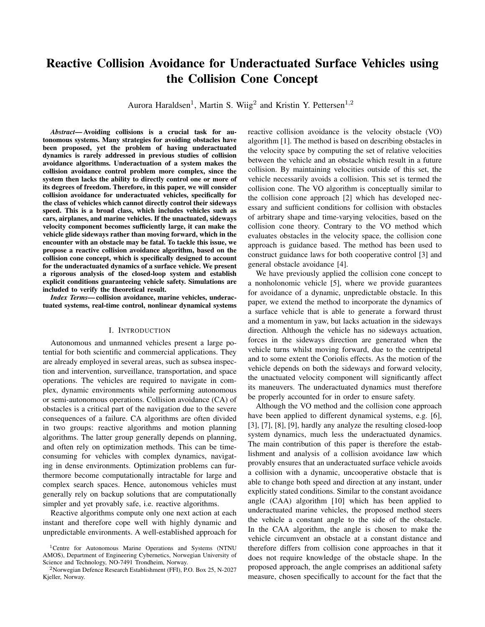

Fig. 1: The body-fixed reference frame in relation to the inertial reference frame.

vehicle cannot change its yaw rate momentarily. Another similarity to the CAA algorithm is that we choose to control the course of the vehicle rather than its heading, which ensures that the vehicle is steered in the desired direction. In [10], proportional-derivative control of the course is applied, and safe course references are assigned to make the vehicle avoid potential collisions. Although this control solution stabilizes the course error dynamics exponentially, it does not utilize the turning capabilities of the vehicle to the fullest in collision avoidance scenarios. In our approach, we instead let the vehicle turn at a constant, maximum rate to avoid collision, thus generating faster and more agile avoidance maneuvers. The collision avoidance problem is moreover combined with path following to demonstrate that the approach also allows the vehicle to achieve its separate goals.

The paper is organized as follows. Section II and III present the vehicle and obstacle models, respectively, and Section IV defines the geometrical properties of the collision cone. In Section V the control system of the vehicle is presented. A mathematical analysis of the algorithm applied to the system is given in Section VI. The theoretical results are verified through simulations in Section VII, before some concluding remarks are provided in Section VIII.

### II. VEHICLE MODEL

We will in this section explain the notation used to express the vehicle kinematics and present the kinematic and dynamic model of an underactuated surface vehicle.

## *A. Notation*

The vehicle is modeled in three degrees of freedom. The model is expressed in the body frame  $b$ , which is attached to the pivot point [11] of the vehicle, in reference to an inertial frame  $n$  (cf. Figure 1). The position and velocity of b with respect to n are denoted as  $\rho_b^n$ ,  $[x_b^n, y_b^n]^2$  and  $V_{nb}^{n}$ ,  $[\underline{x}_{b}^{n}, \underline{y}_{b}^{n}]^{2}$ , respectively, and the orientation of b with respect to  $n$  is given by the heading angle  $\int_{b}^{n}$ . The bodyfixed linear and angular velocities are contained in the vector  $\begin{bmatrix} b \\ nb \end{bmatrix}$ ,  $\begin{bmatrix} u_{b} \\ v_{b} \\ \end{bmatrix}$ , where  $u_{b}$  is the surge (forward) speed,  $v_b$  is the sway (sideways) speed, and  $r_b$  is the yaw (heading) rate. The speed of the vehicle is denoted as  $U_b$ ,  $\overline{U_b^2 + V_b^2}$ and the course as  $\int_b^n$ , atan2  $(y_b^n, x_b^n)$ .

## *B. Model*

The marine vehicle is assumed to have a thruster generating force in the forward direction and a rudder generating angular momentum. The model is written in the expanded form of [10]:

$$
\underline{X}_{b}^{n} = U_{b} \cos\left(\begin{array}{c} n \\ b \end{array}\right) \quad V_{b} \sin\left(\begin{array}{c} n \\ b \end{array}\right); \tag{1a}
$$

$$
y_b^n = u_b \sin(\begin{array}{c} n \\ b \end{array}) + v_b \cos(\begin{array}{c} n \\ b \end{array})
$$
 (1b)

$$
-b = r_{b} \tag{1c}
$$

$$
\underline{u}_b = f_u(u_b; v_b; r_b) + u_i \tag{1d}
$$

$$
\underline{V}_b = X(u_b)r_b + Y(u_b)V_b; \qquad (1e)
$$

$$
\underline{r}_b = f_r(u_b; v_b; r_b) + r_i \tag{1f}
$$

where the expressions of  $f_u(u_b; v_b; r_b)$ ,  $f_r(u_b; v_b; r_b)$ ,  $X(u_b)$ , and  $Y(u_b)$  depend on the mass and damping coefficients of the vehicle and are given in Appendix A, and  $\mu$ and  $r_{\rm r}$  are the control forces in surge and yaw, respectively. For the full derivation of the model (1) we refer you to [10], as well as [12] on modeling of marine vehicles in general.

*Remark* 1*.* The model (1) is valid for surface vehicles, and also for describing the horizontal motion of underwater vehicles, operating at maneuvering speeds.

## III. OBSTACLE MODEL

The obstacle is modeled as a moving, circular domain  $D_0$ , with a radius of  $R_0$ , described by the kinematic equations:

$$
\underline{X}_0^n = U_0 \cos\left(\begin{array}{c} n \\ 0 \end{array}\right),\tag{2a}
$$

$$
y_0^n = u_0 \sin(\frac{n}{o}); \tag{2b}
$$

$$
-_{0}^{n} = r_{0} \tag{2c}
$$

$$
\underline{\mathbf{u}}_0 = a_0 \tag{2d}
$$

where  $x_0^n$  and  $y_0^n$  are the Cartesian coordinates of the obstacle center,  $U_0$  and  $\partial_0$  are the forward speed and acceleration, and  $\int_{0}^{n}$  and  $r_0$  are the obstacle heading and heading rate, respectively. The position of the obstacle center is denoted as  $p_0^n$ ,  $[x_0^n, y_0^n]^2$  and the velocity as  $v_{n_0}^n$ ,  $[x_0^n, y_0^n]^2$ .

**Assumption 1.** The heading rate,  $r<sub>o</sub>$ , and forward acceleration,  $a_0$ , are bounded by

$$
r_o \ 2 \left[ \ r_{o;\text{max}}; r_{o;\text{max}} \right]; \tag{3}
$$

$$
a_o \ 2 \left[ \quad a_{o;\text{max}} \quad a_{o;\text{max}} \right] \tag{4}
$$

where  $r_{o;\text{max}}$  0 and  $a_{o;\text{max}}$  0 are constant parameters.

**Assumption 2.** The forward speed,  $U_0$ , is bounded by

$$
u_o \ 2 \left[ 0; \, u_{o,\text{max}} \right] \tag{5}
$$

where  $u_{o;\text{max}} < u_b$  is a constant parameter.

*Remark* 2*.* By Assumption 2, we require the forward speed of the vehicle,  $U_b$ , to be lower bounded by the maximum forward speed of the obstacle. This ensures well-definedness of the geometrical properties defined in the following section and is generally a necessary assumption for guaranteeing avoidance of a dynamic, uncooperative obstacle.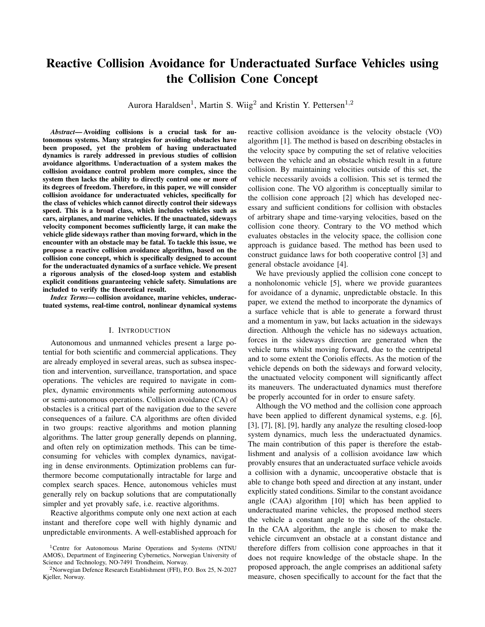## IV. THE COLLISION CONE

To keep the vehicle away from collision, the proposed algorithm will make the vehicle maintain a course that avoids a collision with the obstacle by the collision cone notion. To remain out of collision, the vehicle should keep at least a distance  $d_{\text{sep}} > R_o$  to the obstacle center.

Definition 1 (Collision). A collision occurs between the vehicle and the obstacle if

$$
d_{b,o} < d_{\text{sep}}\tag{6}
$$

where  $d_{b,o}$ ,  $k\mathbf{p}_b^n$   $\mathbf{p}_o^n k$ .

Consider a coordinate frame  $n<sub>o</sub>$ , aligned with the inertial frame *n*, moving with the obstacle velocity,  $V_{no}^D$ . In this frame, the obstacle is static and the vehicle has the velocity  $V_{nbo}^n$ ,  $V_{nbo}^n$   $V_{no}^n$  and course  $\frac{n}{bo}$ , atan2 $(y_b^n \ y_o^n, y_b^n, y_o^n)$ . The vehicle is in danger of colliding with the obstacle if its course, given in  $n<sub>o</sub>$ , lies between the angles

$$
c c \qquad \qquad (7)
$$

where we use the superscript to distinguish between the two angles, representing the edges of the collision cone. Moreover, at at  $\lim_{b \to \infty} (y_o^n - y_b^n, x_o^n - x_b^n)$  and

$$
,\quad \arcsin \quad \frac{d_{\rm sep}}{d_{b,o}}\quad ;\tag{8}
$$

as shown in Figure 2a. Motivated by [13], we will call this situation a *conflict*, which is characterized by the condition

$$
j\, \, \stackrel{n}{\scriptsize{bo}}\, \quad j < \quad \ \colon \qquad \qquad (9)
$$

The same condition can be described with respect to the inertial frame,  $n$ , by performing a coordinate transformation. Consider Figure 2b, where we let the velocity vector  $V_{nbo}^n$ point along the edge at  $\frac{1}{cc}$ . The angle  $\frac{1}{cc}$  then defines the corresponding edge given in  $n$ , computed as

$$
c c' + c c + b
$$
 (10)

*Remark* 3. The angle  $\alpha$  is computed by the same procedure as  $_{cc}^{+}$ .

The angle  $\frac{1}{b}$  can be found by using the Law of Sines on the triangle defined by  $V_{nb}^{\prime\prime}$ ,  $V_{n0}^{\prime\prime}$ , and  $V_{nbo}^{\prime\prime}$ , as

$$
b \quad \arcsin \quad \frac{u_o \sin(\quad o)}{U_b} \quad ; \tag{11}
$$

where  $\phi$  is found geometrically as

$$
o \qquad \qquad \frac{n}{o} + \quad \text{cc} \qquad (12)
$$

Adapted from [13], a measure of the angular distances to a conflict with the obstacle is then found as

$$
h = \frac{n}{b} = \frac{1}{\csc}.
$$
 (13)

The angles are wrapped into the domain  $2(2; 2)$ such that they are negative if the vehicle is in a conflict, and positive otherwise. The formulation corresponds to the distances the vehicle must turn in both directions in order



Fig. 2: Geometric representation of the collision cone.

to enter (or in the opposite case, exit) a conflict, and the shortest distance is found geometrically as

 $\left($ 

min 
$$
+
$$
 if  $\frac{n}{bo}$  0;  
if  $\frac{n}{bo}$  < 0; (14)

where we map the angular difference to the interval  $\begin{pmatrix} n \\ h \end{pmatrix}$  $2()$  ; ].

# V. VEHICLE CONTROL

This section presents the full control system of the vehicle. The objective of the vehicle is to converge to a straightline path by following the course references generated by a line-of-sight (LOS) guidance law. To ensure that path following does not lead to a collision, the course of the vehicle is controlled by a collision avoidance algorithm at all times. Notice that, as opposed to vehicles with unicyclelike kinematics, the heading and the course of the vehicle (1) do not necessarily coincide. In particular, at non-zero sway speeds, the vehicle will move in a direction that differs from its heading. To circumvent this issue, the output of the course control law is converted to an equivalent yaw rate signal. The dynamics of the vehicle are moreover controlled by feedback linearizing controllers, ensuring close tracking of the surge speed and yaw rate references.

## *A. Path following*

The objective of the vehicle is to follow a straight-line path parallel to the  $x^n$ -axis, defined as P,  $f(x; y) \nvert 2 \, \mathbb{R}^2$  $y = y_t^n y$ , where  $y_t^n$  is the desired position along the  $y^n$ -axis. To make the vehicle converge to and move along this path, we choose to use an LOS guidance law [12] to define the desired course angle as

$$
\begin{array}{ccccc}\n n & \arctan & \frac{y_b^n - y_t^n}{p} & ,\n\end{array}
$$
\n(15)

where  $> 0$  is the lookahead distance. To ensure that the vehicle maintains this course, the desired course rate is chosen as

$$
r_{\rm gd} \, , \quad \frac{n}{\rm -gd} \qquad \frac{n}{g} \qquad \qquad (16)
$$

where  $\sim_{\text{g}}^D$ ,  $\sim_{\text{g}}^D$  and  $\sim$  0 is a constant gain. It is straightforward to see that the control law (16) ensures global exponential stability of the course error dynamics, provided the desired course rate,  $r_{\text{gd}}$ , is perfectly tracked.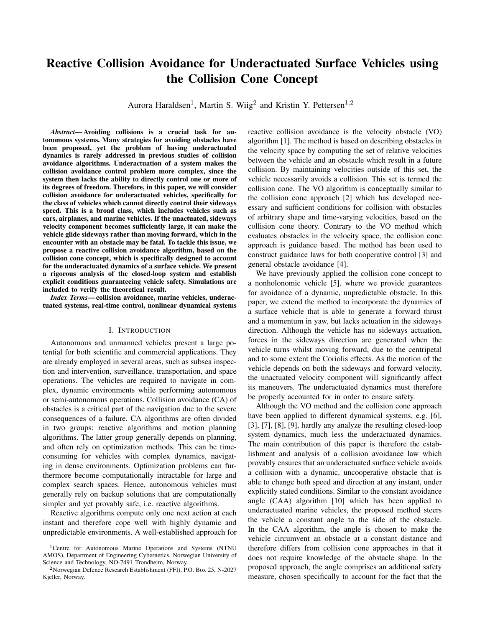## *B. Collision avoidance*

To avoid colliding into an obstacle, the vehicle should always abide by a collision avoidance algorithm. A safety radius  $R_{\text{safe}} > 0$  is introduced to determine when collision avoidance is needed. If the obstacle is outside of this radius,

$$
d_{b/O} > R_{\text{safe}} \tag{17}
$$

then the vehicle should always maintain path following. However, if the obstacle comes within the safety radius, path following should continue as long as the guidance law is safe to follow, determined by the condition:

$$
\begin{array}{c}\n n \\
\text{gd} \ \mathcal{D} \ \ \text{V}_{\text{cc}} \ \text{and} \ \ d_{b/O} \ \ \frac{d_{\text{sep}}}{\text{COS()}}.\n \end{array} \tag{18}
$$

where  $V_{cc}$ ,  $_{cc}$  ;  $_{cc}^{+}$  + and 0 is a constant safety angle. If either of the safety conditions (17) and (18) holds, the desired course rate is thus chosen by (16). Otherwise, the desired course rate is chosen by a collision avoidance law, which will be presented shortly.

To avoid oscillations, the initial turning direction of the vehicle is held throughout the avoidance maneuver, chosen as

$$
j_0 \quad \underset{j \, 2f \, g}{\text{arg min}} \quad \overset{(j)}{=} \tag{19}
$$

evaluated at the time the control system switches from path following to collision avoidance. In order to avoid a potential collision, the vehicle should maintain some maximum course rate,  $r_{\text{max}} > 0$ , in the chosen direction until a safe course is obtained. The collision avoidance law is thus chosen as

$$
r_{\text{ca}}
$$
,  $r_{\text{max}}$   $\text{if } \text{min} \quad 0 \text{ } j \text{ } j_0 = j$  (20)

where  $> 0$  is a constant gain. The second case of (20) will make the vehicle maintain a safety angle, , to a conflict with obstacle and always coincides with the turning parameter  $j_0$ . This ensures that the vehicle does not diverge further than necessary from the nominal trajectory. Moreover, the safety angle acts as an additional security for the vehicle when the obstacle is at a close distance. We will provide lower bounds of the safety parameters and  $R_{\text{safe}}$  in Section VI.

# *C. Surge and yaw controllers*

Let  $U_{bd}$  and  $\Gamma_{bd}$  denote the desired surge speed and yaw rate, respectively, where  $u_{bd} > 0$  is constant and  $r_{bd}$  will be defined in the next section. The surge and yaw dynamics are controlled by the feedback linearizing controllers:

$$
u = U_{bd} \t f_u (u_b; v_b; r_b) \t u^2 b^2 \t (21a)
$$

$$
r = \underline{r}_{bd} \quad f_r(u_b; v_b; r_b) \quad rF_{b'} \tag{21b}
$$

where  $u_b$ ,  $u_b$   $u_{bd}$ ,  $u > 0$  is the surge control gain,  $r_b$ ,  $r_b$   $r_{bd}$ , and  $r > 0$  is the yaw control gain. Substituting (21) into the dynamics (1) verifies that the surge and yaw error dynamics are linear and globally exponentially stable.

**Assumption 3.** At the time  $t_0$ , the system has operated long enough for the yaw rate and surge speed to converge, i.e.  $F_b(t_0) = 0$  and  $u_b(t_0) = 0$ .

## *D. Course rate to yaw rate conversion*

The course rate, defined as  $r \rightarrow \frac{n}{b}$ , is computed by differentiating  $\begin{pmatrix} n \\ b \end{pmatrix}$ ,  $\begin{pmatrix} n \\ b \end{pmatrix}$  + arctan  $\begin{pmatrix} \frac{V_b}{U_b} \\ w_b \end{pmatrix}$  with respect to time:

$$
r = \frac{U_b^2 + X(u_b)u_b}{U_b^2}r_b + \frac{Y(u_b)u_b}{U_b^2}v_b;
$$
 (22)

where we have used the fact that  $\mu_b = 0$ , ensured by Assumption 3. Thus, substituting  $U_{bd}$  for  $U_b$ , the desired yaw rate is defined as

$$
r_{bd} \, , \, \frac{U_{bd}^2 r_d \, \, \Delta Y_{ud} U_{bd} V_b}{U_{bd}^2 + X_{ud} U_{bd}} \, . \tag{23}
$$

where  $r_d$  denotes the desired course rate of the vehicle, chosen as either  $(16)$  or  $(20)$  by the collision avoidance algorithm, and the notation  $U_{bd}$ ,  $\overline{U_{bd}^2 + V_{b}^2}$ ,  $X_{bd}$ ,  $X(U_{bd})$ , and  $Y_{\text{Ud}}$ ,  $Y(u_{\text{bd}})$  is adopted for conciseness.

**Assumption 4.** The term  $X(u_b)$  satisfies

$$
X(u_b) + u_b > 0. \tag{24}
$$

*Remark* 4*.* Assumption 4 implies that a change in the yaw of the vehicle results in a change in its course, which can be seen directly from (22). This is a valid assumption for marine vehicles and ensures that (23) is well-defined.

The modular structure of the algorithm will inevitably cause discontinuities in the reference signal (23). Let  $t_d$  denote a time at which such a jump occurs. To ensure that the reference is smooth and can thus be tracked immediately, we compute it as

$$
r_{bd} \t, \t r_{bd} (t_d) + \frac{T_d}{T_s} (r_{bd} (t_d) \t r_{bd} (t_d)) \t if \t T_d < T_s; \t (25)
$$
\notherwise,

where  $T_s > 0$  is a smoothing interval and  $T_d$ , t  $t_d$ . Note that the parameters  $t_d$  and  $T_s$  are updated in line with changes in  $r_{bd}$  to avoid overshoots.

#### VI. MATHEMATICAL ANALYSIS

This section presents an analysis of the closed-loop behavior of the underactuated vehicle and associated control system. We begin by establishing a lower bound of the distance the vehicle keeps to the obstacle in the ideal case.

Lemma 1. *Consider an obstacle moving with the time*varying velocity  $v_{no}^n$ . Suppose that the vehicle satisfies

$$
j_{bo}^{n}(t)
$$
  $(t)j$   $(t) + j \, 8t$   $t_0$ ; (26)

*where* 2 0; 2 *is a constant angle, and suppose that*  $d_{b,o}(t_0)$   $\frac{d_{\text{sep}}}{\cos()}$ . Then,

$$
d_{b,o}(t) = \frac{d_{\rm sep}}{\cos(\cdot)} \div \mathcal{B}t \qquad t_0: \tag{27}
$$

*Proof:* Consider the line segment going from the vehicle center,  $p_b^n$ , to the obstacle center,  $p_c^n$ , with length  $d_{b,o}$  and orientation. The time-derivative of  $d_{b,o}$  is found geometrically as

$$
d_{b,o} = U_{bo} \cos(\begin{array}{cc} n \\ bo \end{array})
$$
 (28)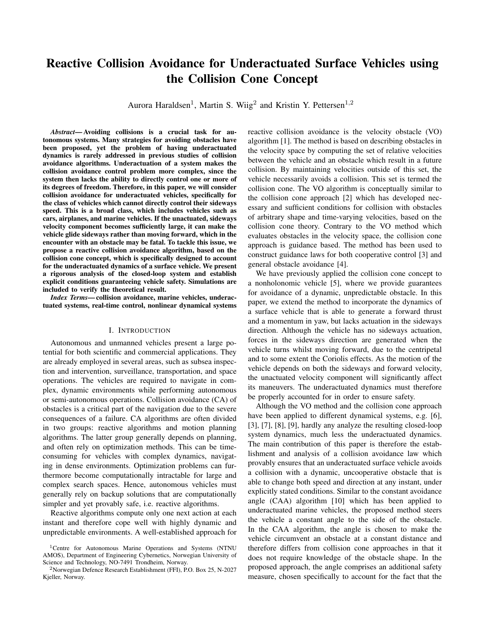where  $U_{bo}$ ,  $kV_{nbo}^n k$ . Substituting (26) in (28) gives

$$
\arccos \qquad \frac{d_{b.o}}{U_{bo}} \qquad \qquad (29)
$$

and the time-derivative of is computed from (8) as

$$
= \frac{d_{b,o}}{d_{b,o}} \tan( ):
$$
 (30)

Moreover, the initial condition  $d_{b,o}(t_0)$  $\frac{d_{\text{sep}}}{\cos(\theta)}$  entails that

 $(t_0)$  $\frac{1}{2}$  . Since  $-$  < 0;  $8d_{b,o} > 0$  by (30) and 2 ;  $8d_{b;0}$  0 by (29), we have (t)  $\frac{1}{2}$  ; 8t t<sub>0</sub>. Solving (8) for the distance,  $d_{b/O}$ , with  $\frac{1}{2}$ , yields (27), which concludes the proof.

For the next lemma, we require the sway dynamics (1e) to be nominally stable:

**Assumption 5.** The term  $Y(u_h)$  satisfies

$$
Y(u_b) < 0. \tag{31}
$$

Due to the hydrodynamic damping forces caused by the surrounding fluid, this is a valid assumption for marine vehicles. Combining (22) and (1e), we end up with the sway dynamics

$$
\underline{V}_b = \frac{U_b^2}{U_b^2 + X(u_b)u_b} \left( X(u_b)r + Y(u_b)v_b \right) ; \qquad (32)
$$

which will appear in the following analysis.

Lemma 2. *Consider a vehicle described by* (1)*, controlled by the surge and yaw controllers* (21)*. Let Assumption 3-5 hold. Suppose that the course rate,* r *, is dependent on the sway speed,*  $v_b$ , in a way that the following holds:

$$
jr \ (v_{b;\text{max}})j - \frac{jY_{\text{ud}}j}{jX_{\text{ud}}j}v_{b;\text{max}};
$$
 (33)

*where*  $v_{b;\text{max}} > 0$  *is constant, and*  $j v_b(t_0) j$   $v_{b;\text{max}}$ . Then,

$$
jv_b(t)j \qquad v_{b;\text{max}}; \; \delta t \qquad t_0: \tag{34}
$$

*Proof:* The proof of this lemma follows along the lines of the proof presented in [10, Lemma 2] for the CAA algorithm. Consider the Lyapunov function candidate:

$$
V = 0.5v_b^2
$$
 (35)

Assumption 3 ensures that  $u_b(t) = u_{bd}$ ; 8t t<sub>0</sub>. The timederivative of (35) along the trajectories of (32) is then

$$
V = \frac{U_{bd}^2}{U_{bd}^2 + X_{ud}U_{bd}} X_{ud}r V_b + Y_{ud}V_b^2
$$
 (36)

By Assumption 4 and 5, (36) satisfies

$$
V \frac{U_{bd}^2}{U_{bd}^2 + X_{ud}U_{bd}} jX_{ud}j/r jy_{bj} jY_{ud}jv_b^2
$$
 (37)

Define the level set  $V = f V_b \nvert 2 \rvert V$  0.5 $V_{b,\text{max}}^2 g$ . By (33) and (37),  $\sqrt{v}$  is a positively invariant set. Thus, any trajectory starting inside of the set cannot leave it.

**Assumption 6.** The course rate,  $r$ , is bounded by

$$
r \quad 2 \quad r \quad \text{max} \quad r \quad \text{max} \quad (38)
$$

where  $r_{\text{max}} > 0$  is a constant parameter.

*Remark* 5*.* The maximum course rate is not a physical constraint, rather, it represents a design parameter, similar to  $v_{b;\text{max}}$ . In the remainder of the analysis, these parameters will be used to reach a set of safety conditions ensuring collision avoidance for the vehicle by the proposed algorithm.

Lemma 3. *Consider a vehicle described by* (1) *and an obstacle described by* (2)*. Let Assumption 1-6 hold, and suppose that*  $u_b(t) = u_{bd}$  *and*  $j v_b(t) j$   $v_{b,max}$  *for all* t  $t_0$ *. Furthermore, suppose that there exists a constant parameter* 2 (0; 1) *such that*

$$
V_{b;\text{max}} \qquad \frac{U_{bd}^2 + X_{ud} U_{bd} \qquad U_{bd}^2 \qquad U_{c;\text{max}}^2}{jX_{ud}/U_{c;\text{max}}} \qquad (39)
$$

*and*

$$
r_{\text{.,max}} \frac{r_{\text{0,max}} \frac{u_{\text{0,max}}}{u_{\text{bd}}} + \frac{\frac{\partial \sigma_{\text{.,max}}}{\partial \hat{t}_{\text{bd}}}}{u_{\text{0,max}}^2} + \frac{jY_{\text{ud}}}{jX_{\text{ud}}j}V_{\text{b,max}}}{(1)}.
$$
 (40)

*Finally, suppose that, at a time*  $t_1$   $t_0$ *, the vehicle satisfies* 

$$
j \tfrac{n}{b0}(t_1) \t(t_1) j \t(t_1) \t(41)
$$

and  $d_{b,o}(t_1)$  d<sub>sep</sub>. Then, a course rate, r, satisfying the *collision avoidance law* (20)*, will keep the vehicle out of conflict for all t* t<sub>1</sub>*. Moreover,* 

$$
d_{b,o}(t) \t d_{\rm sep}; \; \delta t \t t_1: \t (42)
$$

*Proof:* The proof of this lemma follows the same line of arguments as in [5, Theorem 1], where we consider collision avoidance for vehicles with unicycle-type kinematics. We here extend the proof by including the dynamical model of an underactuated surface vehicle, resulting in less flexibility in the choice of  $r_{\text{max}}$  due to the increased model complexity as well as having unactuated dynamics to account for.

Consider the distances to conflict, , defined in (13). By (41),  $\min(t_1)$  0. The time-derivative of is computed by substituting  $(7)$  and  $(10)$  into  $(13)$  as

$$
- = r \qquad - \qquad -b \qquad (43)
$$

The time-derivative of  $b$  is computed from (11) as

$$
I_{-b} = I_0 + I_0 - P_0 + A_0 Q_0 - Y_b V_b R_0 ; (44)
$$

where the expressions of  $P(\rho)$ ,  $Q(\rho)$ , and  $R(\rho)$  are given in Appendix A, which yields

$$
= r r_0 P_0 a_0 Q_0
$$
  
\n
$$
\underline{v}_b v_b R_0 + 1 + P_0 - 2 \tag{45}
$$

The term \_ - is computed as

$$
\frac{U_{bo}}{d_{b,o}}\left(\sin\left(\begin{array}{cc}n\\bo\end{array}\right)\right)\cos\left(\begin{array}{cc}n\\bo\end{array}\right)\tan\left(\begin{array}{cc}n\end{array}\right); \quad (46)
$$

where  $\overline{\phantom{a}}$  is found geometrically and  $\overline{\phantom{a}}$  is computed from (8). Recalling that the shortest distance to a conflict, min,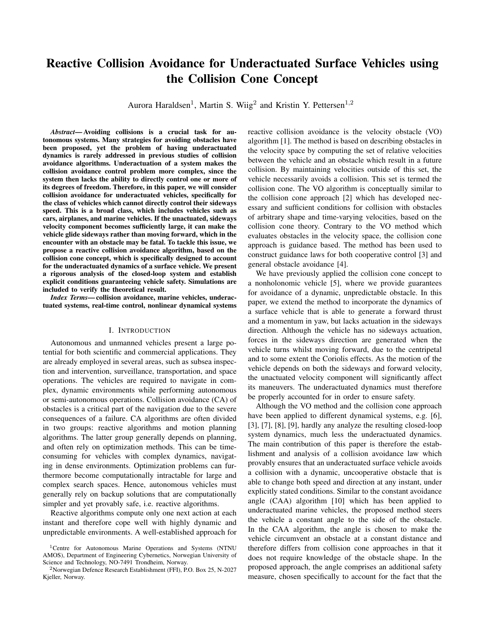

Fig. 3: Geometric representation of ˜.

satisfies (14), we may write sin( $\frac{n}{b_0}$ ) = jsin( $\frac{n}{b_0}$  $)$  ): Furthermore, the vehicle satisfies (41), which entails that

$$
j\sin(\begin{array}{cc} n \\ b_0 \end{array})j \quad \cos(\begin{array}{cc} n \\ b_0 \end{array})\tan(\begin{array}{cc} n \end{array}) \quad 0. \tag{47}
$$

Finally,  $P(\begin{pmatrix} 0 \end{pmatrix}$  2 ( 1;1) by Assumption 2, thus

$$
r = 1 + \frac{X_{ud}V_bU_{bd}^2R(\,_{o})}{U_{bd}^2 + X_{ud}U_{bd}} \quad r_oP_o
$$
\n
$$
a_oQ_o \quad Y_{ud}V_b^2 \quad \frac{U_{bd}^2R(\,_{o})}{U_{bd}^2 + X_{ud}U_{bd}} \quad (48)
$$

where we have inserted the full expression for the sway dynamics given by  $(32)$ . Consider the term in front of  $r$ ,

$$
1 + \frac{X_{ud}v_b U_{bd}^2 R(\,_{o})}{U_{bd}^2 + X_{ud} U_{bd}}
$$
\n
$$
1 - \frac{j X_{ud} j v_b j u_o j}{U_{bd}^2 + X_{ud} U_{bd}} \frac{(49)}{U_{bd}^2 - U_{bc}^2}
$$

To ensure that (49) is positive, we require  $v_{b, \text{max}}$  to satisfy (39), which gives the final expression:

- 
$$
r(1)
$$
  $r_o P_o$   $a_o Q_o$   $jv_b \frac{jY_{ud}j}{jX_{ud}j}$  (50)

The remaining terms of (50) are bounded by the conditions of the lemma and Assumption 1 and 2. Thus, if  $\min 2 [0, 1]$ , then  $\mathsf{m}$  0 when r satisfies the collision avoidance law (20) and (40) holds. Hence, by (41),  $j \frac{n}{b0}(t)$  (t)j (t); 8t  $t_1$ , which ensures that (42) holds by Lemma 1.

The main result will now be presented, where obstacle avoidance is considered in combination with path following. Before stating the theorem, we make the final assumption:

Assumption 7. The vehicle dynamics (1) satisfy

$$
\frac{X_{\text{ud}}^2 U_{\text{o,max}} \tGamma_{\text{o,max}} \frac{U_{\text{o,max}}}{U_{\text{bd}}} + P \frac{a_{\text{o,max}}}{U_{\text{bd}}^2 U_{\text{o,max}}^2}}}{jY_{\text{ud}} j \tU_{\text{bd}}^2 + X_{\text{ud}} U_{\text{bd}} \tU_{\text{bd}}^2 U_{\text{bd}}^2 U_{\text{o,max}}^2} \t{1}.
$$
 (51)

*Remark* 6*.* Assumption 7 follows from Lemma 2 and 3 and ensures that condition (39) and (40) in combination with (33) can be satisfied by a parameter  $2 (0, 1)$ .

Theorem 1. *Consider a vehicle described by* (1) *and an obstacle described by* (2)*. Let Assumption 1-7 hold, the safety* *radius satisfy*

$$
R_{\text{safe}} \quad d_{\text{sep}} + \frac{U_{\text{bd,max}} + U_{\text{o,max}}}{r_{\text{max}}} + d_{\text{jump}} \qquad (52)
$$

*the angular safety distance satisfy*

$$
\arccos \frac{d_{\rm sep}}{d_{\rm sep} + d_{\rm jump}} \qquad (53)
$$

*and the smoothing time satisfy*  $T_s$   $T_{jump}$ , *where*  $d_{jump}$ ,  $T_{\text{jump}}(U_{\text{O,max}} + U_{\text{bd,max}})$  *and*  $U_{\text{bd,max}}$  $\frac{v_1^2}{u_{bd}^2 + v_{b,max}^2}$ . *Furthermore, for a constant parameter*  $2(0,1)$ , let (39) *and* (40) *of Lemma 3 hold, the maximum course rate satisfy*

$$
r_{\text{max}} = \frac{jY_{\text{ud}}}{jX_{\text{ud}}j}v_{b;\text{max}}.
$$
 (54)

*and the lookahead distance satisfy*

$$
\frac{U_{\text{bd,max}}}{\frac{1}{\text{max}}}.
$$
 (55)

*Then, if*  $d_{b,o}(t_0)$   $R_{\text{safe}}$  *and*  $j v_b(t_0) j$   $v_{b;\text{max}}$ , the *vehicle controlled by the surge and yaw controllers* (21)*, the guidance system* (15)*-*(16)*, and the collision avoidance algorithm* (17)*-*(20)*, will converge to the path* P *without collision, i.e.*  $d_{b,o}(t)$   $d_{\text{sep}}$ ; 8t  $t_0$ .

*Proof:* We will prove this theorem by demonstrating that the lower bounds on the safety radius (52) and the safety angle (53) ensure that the vehicle is able to both reach a safe course and follow the collision avoidance law before a collision can possibly occur with the obstacle.

Lemma 2 in combination with Assumption 6 and the upper bound (54) entails that  $jv_b(t)$   $v_{b,\text{max}}$ ; 8t  $t_0$ . The speed of the vehicle is hence bounded by  $U_b$   $U_{bd\, max}$ .

Consider a time  $t_1$  t<sub>0</sub> at which the vehicle and the obstacle are in a conflict, i.e.  $min(t_1) < 0$ , and will collide unless the vehicle changes its course. Let also the distance satisfy  $d_{b,o}(t_1) = R_{\text{safe}}$ . We furthermore consider the worst case scenario in such a situation. A jump in the yaw reference signal occurs at the time  $t_1$ , and the time it takes to smooth the signal is upper bounded by  $T_{\text{jump}}$ , which causes the distance between the vehicle and the obstacle to reduce by  $d_{\text{jump}}$ . The vehicle must then have reached the maximum course rate,  $r_{\text{max}}$ , by (25) and turns at this rate for a full rad turn before reaching a safe course, during which the obstacle moves at maximum speed towards the turning circle of the vehicle. It follows that the safety radius (52) ensures that there exists a time  $t_2 > t_1$  such that  $d_{b,o}(t)$   $d_{sep}$ ;  $8t \; 2 \; [t_1; t_2]$  and  $\binom{min}{2} = 0$ . Lemma 3 then ensures that  $d_{b,o}$  d<sub>sep</sub> until guidance resumes.

Suppose now that, at some time  $t_3 > t_0$ , the guidance law satisfies  $\int_{gd}^n 2 V_{cc}$  during which  $d_{b,o} < R_{\text{safe}}$ , causing the collision avoidance scheme to commence. The vehicle is not guaranteed to follow (20) before the time  $T_{\text{jump}}$  has passed. By (18), there must exist a time  $t_3^{\ell} < t_3$  such that  $d_{b,o}(t^{\emptyset}_{3})$  $\frac{d_{\text{sep}}}{\cos(\cdot)}$  and  $\frac{n}{b}(t) \geq V_{\text{cc}}$ ;  $8t \geq [t_3^0; t_3]$ , which entails by Lemma 1 and the choice of in (53) that

$$
d_{b/O}(t_3) \quad \frac{d_{\rm sep}}{\cos(\theta)} \quad d_{\rm sep} + d_{\rm jump} \tag{56}
$$